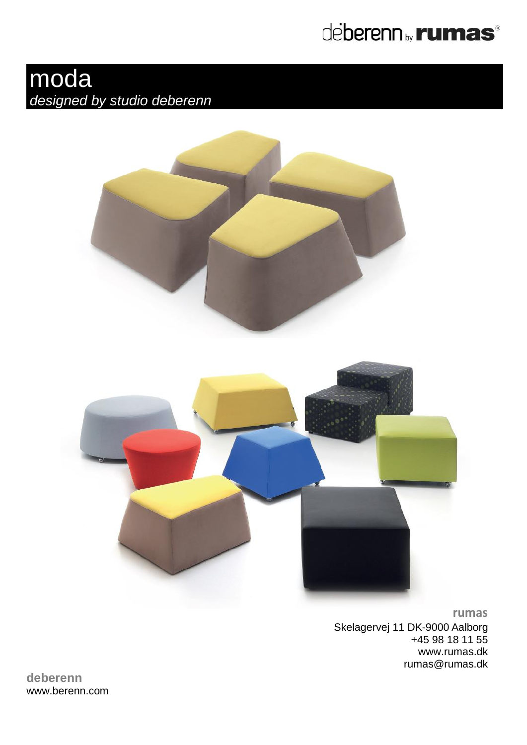

# moda *designed by studio deberenn*





**rumas** Skelagervej 11 DK-9000 Aalborg +45 98 18 11 55 www.rumas.dk [rumas@rumas.dk](mailto:rumas@rumas.dk)

**deberenn** www.berenn.com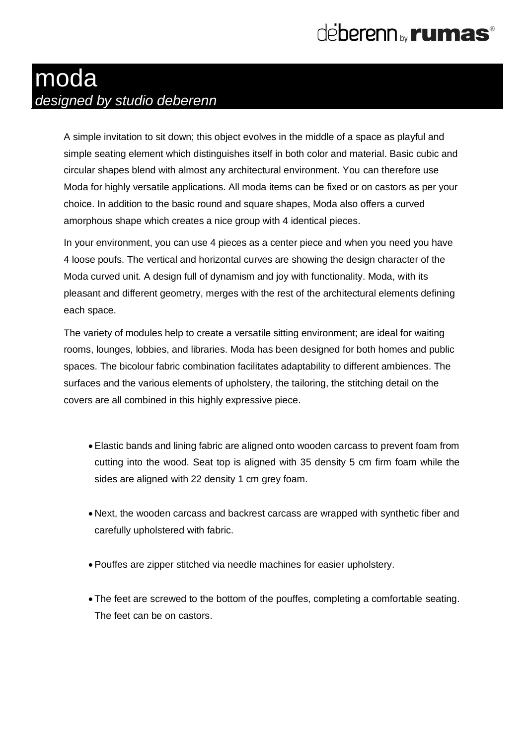### moda *designed by studio deberenn*

A simple invitation to sit down; this object evolves in the middle of a space as playful and simple seating element which distinguishes itself in both color and material. Basic cubic and circular shapes blend with almost any architectural environment. You can therefore use Moda for highly versatile applications. All moda items can be fixed or on castors as per your choice. In addition to the basic round and square shapes, Moda also offers a curved amorphous shape which creates a nice group with 4 identical pieces.

In your environment, you can use 4 pieces as a center piece and when you need you have 4 loose poufs. The vertical and horizontal curves are showing the design character of the Moda curved unit. A design full of dynamism and joy with functionality. Moda, with its pleasant and different geometry, merges with the rest of the architectural elements defining each space.

The variety of modules help to create a versatile sitting environment; are ideal for waiting rooms, lounges, lobbies, and libraries. Moda has been designed for both homes and public spaces. The bicolour fabric combination facilitates adaptability to different ambiences. The surfaces and the various elements of upholstery, the tailoring, the stitching detail on the covers are all combined in this highly expressive piece.

- Elastic bands and lining fabric are aligned onto wooden carcass to prevent foam from cutting into the wood. Seat top is aligned with 35 density 5 cm firm foam while the sides are aligned with 22 density 1 cm grey foam.
- Next, the wooden carcass and backrest carcass are wrapped with synthetic fiber and carefully upholstered with fabric.
- Pouffes are zipper stitched via needle machines for easier upholstery.
- The feet are screwed to the bottom of the pouffes, completing a comfortable seating. The feet can be on castors.